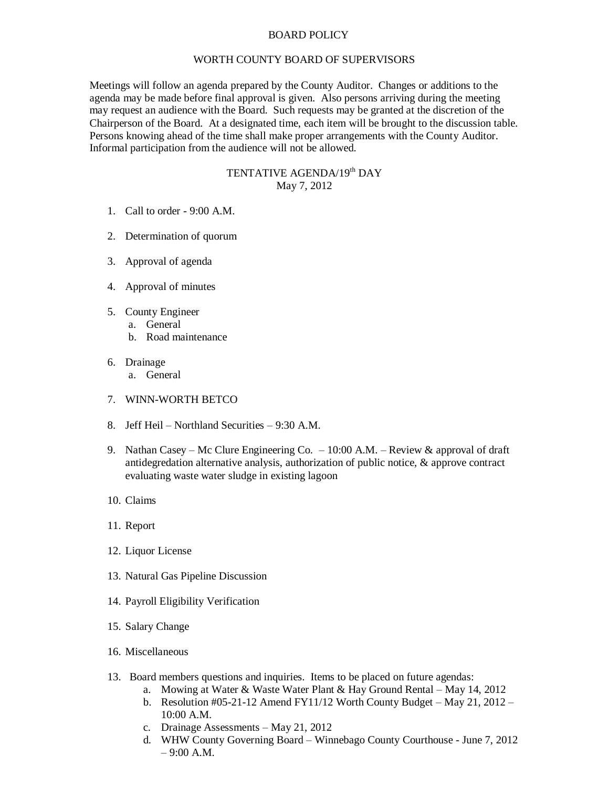## BOARD POLICY

## WORTH COUNTY BOARD OF SUPERVISORS

Meetings will follow an agenda prepared by the County Auditor. Changes or additions to the agenda may be made before final approval is given. Also persons arriving during the meeting may request an audience with the Board. Such requests may be granted at the discretion of the Chairperson of the Board. At a designated time, each item will be brought to the discussion table. Persons knowing ahead of the time shall make proper arrangements with the County Auditor. Informal participation from the audience will not be allowed.

## TENTATIVE AGENDA/19th DAY May 7, 2012

- 1. Call to order 9:00 A.M.
- 2. Determination of quorum
- 3. Approval of agenda
- 4. Approval of minutes
- 5. County Engineer
	- a. General
		- b. Road maintenance
- 6. Drainage
	- a. General
- 7. WINN-WORTH BETCO
- 8. Jeff Heil Northland Securities 9:30 A.M.
- 9. Nathan Casey Mc Clure Engineering Co. 10:00 A.M. Review & approval of draft antidegredation alternative analysis, authorization of public notice, & approve contract evaluating waste water sludge in existing lagoon
- 10. Claims
- 11. Report
- 12. Liquor License
- 13. Natural Gas Pipeline Discussion
- 14. Payroll Eligibility Verification
- 15. Salary Change
- 16. Miscellaneous
- 13. Board members questions and inquiries. Items to be placed on future agendas:
	- a. Mowing at Water & Waste Water Plant & Hay Ground Rental May 14, 2012
	- b. Resolution #05-21-12 Amend FY11/12 Worth County Budget May 21,  $2012 -$ 10:00 A.M.
	- c. Drainage Assessments May 21, 2012
	- d. WHW County Governing Board Winnebago County Courthouse June 7, 2012  $-9:00 A.M.$